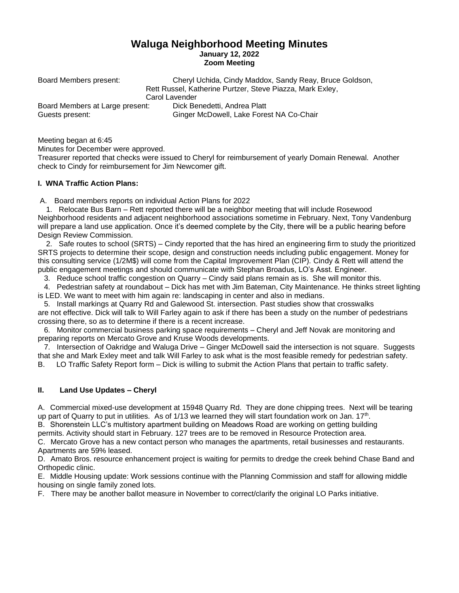# **Waluga Neighborhood Meeting Minutes January 12, 2022 Zoom Meeting**

Board Members present: Cheryl Uchida, Cindy Maddox, Sandy Reay, Bruce Goldson, Rett Russel, Katherine Purtzer, Steve Piazza, Mark Exley, Carol Lavender Board Members at Large present: Dick Benedetti, Andrea Platt Guests present: Ginger McDowell, Lake Forest NA Co-Chair

Meeting began at 6:45

Minutes for December were approved.

Treasurer reported that checks were issued to Cheryl for reimbursement of yearly Domain Renewal. Another check to Cindy for reimbursement for Jim Newcomer gift.

## **I. WNA Traffic Action Plans:**

A. Board members reports on individual Action Plans for 2022

 1. Relocate Bus Barn – Rett reported there will be a neighbor meeting that will include Rosewood Neighborhood residents and adjacent neighborhood associations sometime in February. Next, Tony Vandenburg will prepare a land use application. Once it's deemed complete by the City, there will be a public hearing before Design Review Commission.

 2. Safe routes to school (SRTS) – Cindy reported that the has hired an engineering firm to study the prioritized SRTS projects to determine their scope, design and construction needs including public engagement. Money for this consulting service (1/2M\$) will come from the Capital Improvement Plan (CIP). Cindy & Rett will attend the public engagement meetings and should communicate with Stephan Broadus, LO's Asst. Engineer.

3. Reduce school traffic congestion on Quarry – Cindy said plans remain as is. She will monitor this.

 4. Pedestrian safety at roundabout – Dick has met with Jim Bateman, City Maintenance. He thinks street lighting is LED. We want to meet with him again re: landscaping in center and also in medians.

 5. Install markings at Quarry Rd and Galewood St. intersection. Past studies show that crosswalks are not effective. Dick will talk to Will Farley again to ask if there has been a study on the number of pedestrians crossing there, so as to determine if there is a recent increase.

 6. Monitor commercial business parking space requirements – Cheryl and Jeff Novak are monitoring and preparing reports on Mercato Grove and Kruse Woods developments.

 7. Intersection of Oakridge and Waluga Drive – Ginger McDowell said the intersection is not square. Suggests that she and Mark Exley meet and talk Will Farley to ask what is the most feasible remedy for pedestrian safety. B. LO Traffic Safety Report form – Dick is willing to submit the Action Plans that pertain to traffic safety.

## **II. Land Use Updates – Cheryl**

A. Commercial mixed-use development at 15948 Quarry Rd. They are done chipping trees. Next will be tearing up part of Quarry to put in utilities. As of 1/13 we learned they will start foundation work on Jan. 17<sup>th</sup>.

B. Shorenstein LLC's multistory apartment building on Meadows Road are working on getting building permits. Activity should start in February. 127 trees are to be removed in Resource Protection area.

C. Mercato Grove has a new contact person who manages the apartments, retail businesses and restaurants. Apartments are 59% leased.

D. Amato Bros. resource enhancement project is waiting for permits to dredge the creek behind Chase Band and Orthopedic clinic.

E. Middle Housing update: Work sessions continue with the Planning Commission and staff for allowing middle housing on single family zoned lots.

F. There may be another ballot measure in November to correct/clarify the original LO Parks initiative.